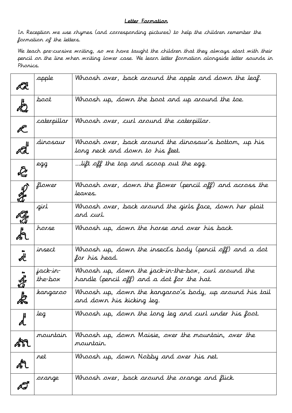## Letter Formation

In Reception we use rhymes (and corresponding pictures) to help the children remember the formation of the letters.

We teach pre-cursive writing, so we have taught the children that they always start with their pencil on the line when writing lower case. We learn letter formation alongside letter sounds in Phonics.

|   | apple               | Whoosh over, back around the apple and down the leaf.                                              |
|---|---------------------|----------------------------------------------------------------------------------------------------|
|   | soot                | Whoosh up, down the boot and up around the toe.                                                    |
|   | caterpillar         | Whoosh over, curl around the caterpillar.                                                          |
|   | dinosaur            | Whoosh over, back around the dinosaur's bottom, up his<br>long neck and down to his feet.          |
|   | egg                 | lift off the top and scoop out the egg.                                                            |
|   | flower              | Whoosh over, down the flower (pencil off) and across the<br>leaves.                                |
|   | girl                | Whoosh over, back around the girls face, down her plait<br>and curl.                               |
|   | horse               | Whoosh up, down the horse and over his back.                                                       |
|   | insect              | Whoosh up, down the insect's body (pencil off) and a dot<br>for his head.                          |
|   | jack-in-<br>the-box | Whoosh up, down the jack-in-the-box, curl around the<br>handle (pencil off) and a dot for the hat. |
| þ | kangaroo            | Whoosh up, down the kangaroo's body, up around his tail<br>and down his kicking leg.               |
|   | leg                 | Whoosh up, down the long leg and curl under his foot.                                              |
|   | nountair            | Whoosh up, down Maisie, over the mountain, over the<br>mountair.                                   |
|   | ret                 | Whoosh up, down Nobby and over his net.                                                            |
|   | orange              | Whoosh over, back around the orange and flick.                                                     |